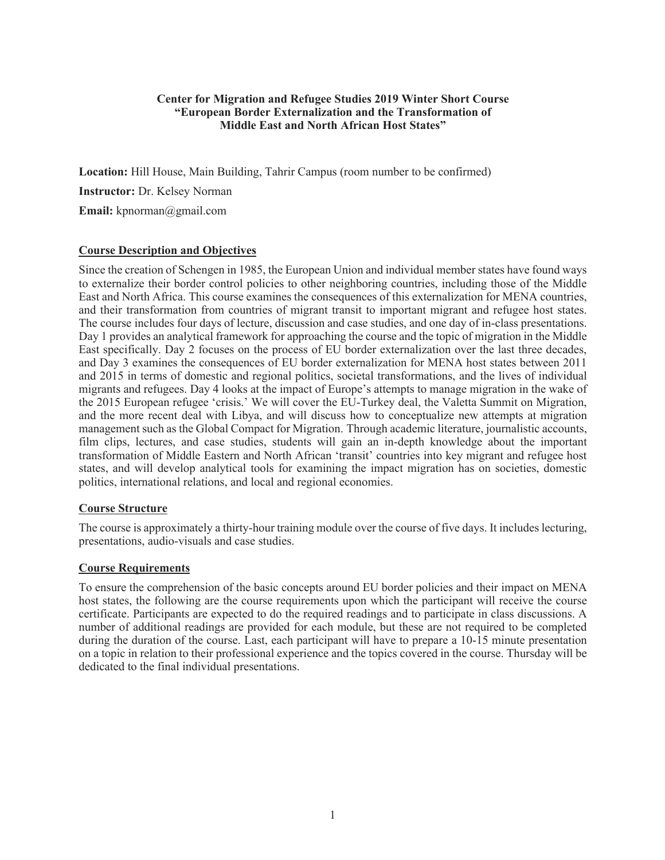# **Center for Migration and Refugee Studies 2019 Winter Short Course "European Border Externalization and the Transformation of Middle East and North African Host States"**

**Location:** Hill House, Main Building, Tahrir Campus (room number to be confirmed) **Instructor:** Dr. Kelsey Norman **Email:** kpnorman@gmail.com

# **Course Description and Objectives**

Since the creation of Schengen in 1985, the European Union and individual member states have found ways to externalize their border control policies to other neighboring countries, including those of the Middle East and North Africa. This course examines the consequences of this externalization for MENA countries, and their transformation from countries of migrant transit to important migrant and refugee host states. The course includes four days of lecture, discussion and case studies, and one day of in-class presentations. Day 1 provides an analytical framework for approaching the course and the topic of migration in the Middle East specifically. Day 2 focuses on the process of EU border externalization over the last three decades, and Day 3 examines the consequences of EU border externalization for MENA host states between 2011 and 2015 in terms of domestic and regional politics, societal transformations, and the lives of individual migrants and refugees. Day 4 looks at the impact of Europe's attempts to manage migration in the wake of the 2015 European refugee 'crisis.' We will cover the EU-Turkey deal, the Valetta Summit on Migration, and the more recent deal with Libya, and will discuss how to conceptualize new attempts at migration management such as the Global Compact for Migration. Through academic literature, journalistic accounts, film clips, lectures, and case studies, students will gain an in-depth knowledge about the important transformation of Middle Eastern and North African 'transit' countries into key migrant and refugee host states, and will develop analytical tools for examining the impact migration has on societies, domestic politics, international relations, and local and regional economies.

## **Course Structure**

The course is approximately a thirty-hour training module over the course of five days. It includes lecturing, presentations, audio-visuals and case studies.

## **Course Requirements**

To ensure the comprehension of the basic concepts around EU border policies and their impact on MENA host states, the following are the course requirements upon which the participant will receive the course certificate. Participants are expected to do the required readings and to participate in class discussions. A number of additional readings are provided for each module, but these are not required to be completed during the duration of the course. Last, each participant will have to prepare a 10-15 minute presentation on a topic in relation to their professional experience and the topics covered in the course. Thursday will be dedicated to the final individual presentations.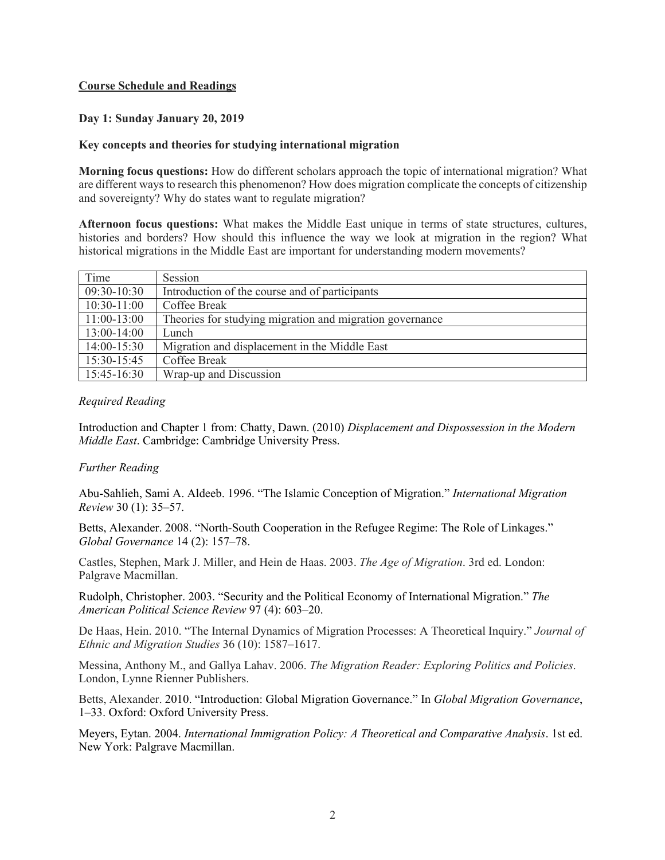# **Course Schedule and Readings**

## **Day 1: Sunday January 20, 2019**

#### **Key concepts and theories for studying international migration**

**Morning focus questions:** How do different scholars approach the topic of international migration? What are different ways to research this phenomenon? How does migration complicate the concepts of citizenship and sovereignty? Why do states want to regulate migration?

**Afternoon focus questions:** What makes the Middle East unique in terms of state structures, cultures, histories and borders? How should this influence the way we look at migration in the region? What historical migrations in the Middle East are important for understanding modern movements?

| Time          | Session                                                  |
|---------------|----------------------------------------------------------|
| 09:30-10:30   | Introduction of the course and of participants           |
| $10:30-11:00$ | Coffee Break                                             |
| $11:00-13:00$ | Theories for studying migration and migration governance |
| $13:00-14:00$ | Lunch                                                    |
| $14:00-15:30$ | Migration and displacement in the Middle East            |
| 15:30-15:45   | Coffee Break                                             |
| 15:45-16:30   | Wrap-up and Discussion                                   |

## *Required Reading*

Introduction and Chapter 1 from: Chatty, Dawn. (2010) *Displacement and Dispossession in the Modern Middle East*. Cambridge: Cambridge University Press.

## *Further Reading*

Abu-Sahlieh, Sami A. Aldeeb. 1996. "The Islamic Conception of Migration." *International Migration Review* 30 (1): 35–57.

Betts, Alexander. 2008. "North-South Cooperation in the Refugee Regime: The Role of Linkages." *Global Governance* 14 (2): 157–78.

Castles, Stephen, Mark J. Miller, and Hein de Haas. 2003. *The Age of Migration*. 3rd ed. London: Palgrave Macmillan.

Rudolph, Christopher. 2003. "Security and the Political Economy of International Migration." *The American Political Science Review* 97 (4): 603–20.

De Haas, Hein. 2010. "The Internal Dynamics of Migration Processes: A Theoretical Inquiry." *Journal of Ethnic and Migration Studies* 36 (10): 1587–1617.

Messina, Anthony M., and Gallya Lahav. 2006. *The Migration Reader: Exploring Politics and Policies*. London, Lynne Rienner Publishers.

Betts, Alexander. 2010. "Introduction: Global Migration Governance." In *Global Migration Governance*, 1–33. Oxford: Oxford University Press.

Meyers, Eytan. 2004. *International Immigration Policy: A Theoretical and Comparative Analysis*. 1st ed. New York: Palgrave Macmillan.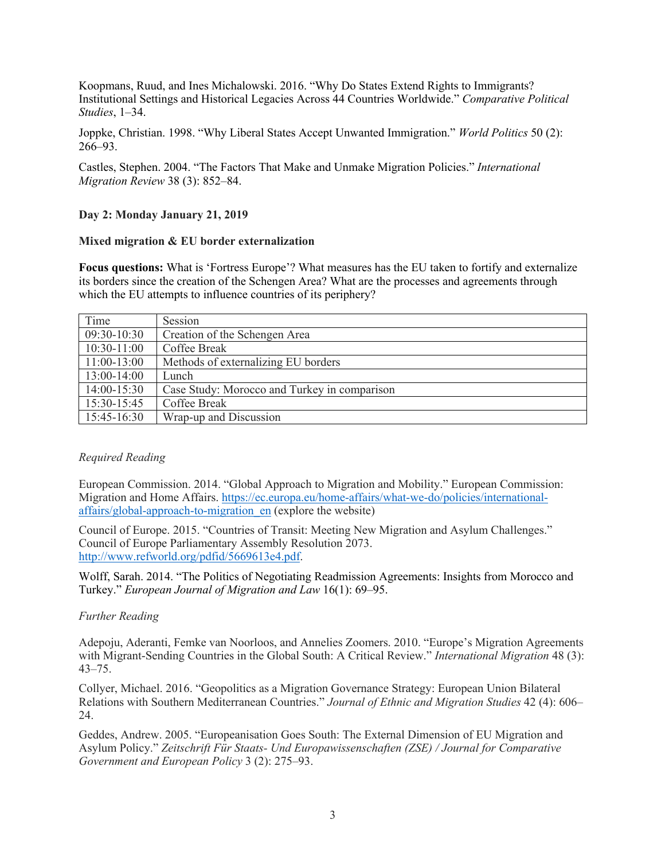Koopmans, Ruud, and Ines Michalowski. 2016. "Why Do States Extend Rights to Immigrants? Institutional Settings and Historical Legacies Across 44 Countries Worldwide." *Comparative Political Studies*, 1–34.

Joppke, Christian. 1998. "Why Liberal States Accept Unwanted Immigration." *World Politics* 50 (2): 266–93.

Castles, Stephen. 2004. "The Factors That Make and Unmake Migration Policies." *International Migration Review* 38 (3): 852–84.

## **Day 2: Monday January 21, 2019**

#### **Mixed migration & EU border externalization**

**Focus questions:** What is 'Fortress Europe'? What measures has the EU taken to fortify and externalize its borders since the creation of the Schengen Area? What are the processes and agreements through which the EU attempts to influence countries of its periphery?

| Time          | Session                                      |
|---------------|----------------------------------------------|
| 09:30-10:30   | Creation of the Schengen Area                |
| $10:30-11:00$ | Coffee Break                                 |
| $11:00-13:00$ | Methods of externalizing EU borders          |
| 13:00-14:00   | Lunch                                        |
| 14:00-15:30   | Case Study: Morocco and Turkey in comparison |
| 15:30-15:45   | Coffee Break                                 |
| $15:45-16:30$ | Wrap-up and Discussion                       |

## *Required Reading*

European Commission. 2014. "Global Approach to Migration and Mobility." European Commission: Migration and Home Affairs. https://ec.europa.eu/home-affairs/what-we-do/policies/internationalaffairs/global-approach-to-migration\_en (explore the website)

Council of Europe. 2015. "Countries of Transit: Meeting New Migration and Asylum Challenges." Council of Europe Parliamentary Assembly Resolution 2073. http://www.refworld.org/pdfid/5669613e4.pdf.

Wolff, Sarah. 2014. "The Politics of Negotiating Readmission Agreements: Insights from Morocco and Turkey." *European Journal of Migration and Law* 16(1): 69–95.

## *Further Reading*

Adepoju, Aderanti, Femke van Noorloos, and Annelies Zoomers. 2010. "Europe's Migration Agreements with Migrant-Sending Countries in the Global South: A Critical Review." *International Migration* 48 (3): 43–75.

Collyer, Michael. 2016. "Geopolitics as a Migration Governance Strategy: European Union Bilateral Relations with Southern Mediterranean Countries." *Journal of Ethnic and Migration Studies* 42 (4): 606– 24.

Geddes, Andrew. 2005. "Europeanisation Goes South: The External Dimension of EU Migration and Asylum Policy." *Zeitschrift Für Staats- Und Europawissenschaften (ZSE) / Journal for Comparative Government and European Policy* 3 (2): 275–93.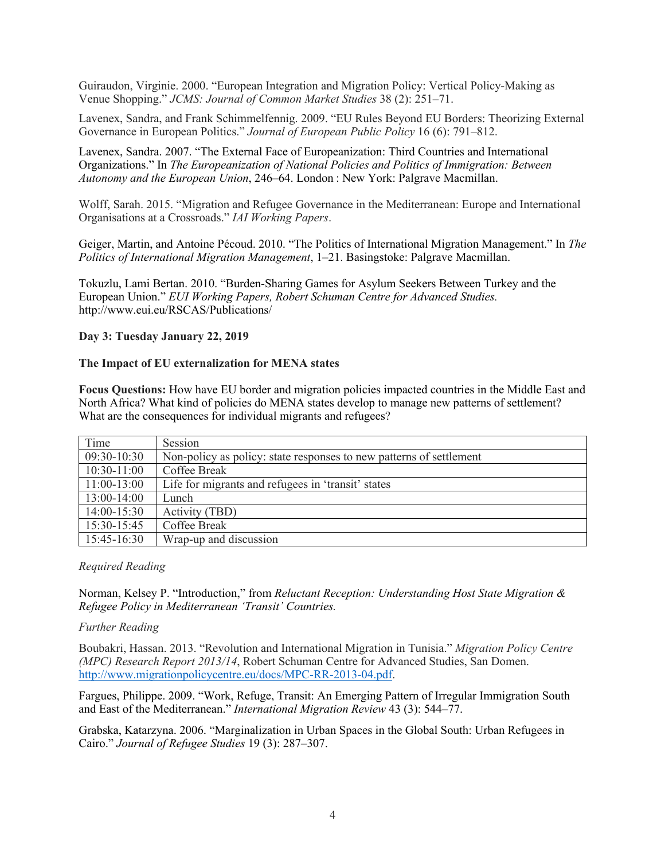Guiraudon, Virginie. 2000. "European Integration and Migration Policy: Vertical Policy-Making as Venue Shopping." *JCMS: Journal of Common Market Studies* 38 (2): 251–71.

Lavenex, Sandra, and Frank Schimmelfennig. 2009. "EU Rules Beyond EU Borders: Theorizing External Governance in European Politics." *Journal of European Public Policy* 16 (6): 791–812.

Lavenex, Sandra. 2007. "The External Face of Europeanization: Third Countries and International Organizations." In *The Europeanization of National Policies and Politics of Immigration: Between Autonomy and the European Union*, 246–64. London : New York: Palgrave Macmillan.

Wolff, Sarah. 2015. "Migration and Refugee Governance in the Mediterranean: Europe and International Organisations at a Crossroads." *IAI Working Papers*.

Geiger, Martin, and Antoine Pécoud. 2010. "The Politics of International Migration Management." In *The Politics of International Migration Management*, 1–21. Basingstoke: Palgrave Macmillan.

Tokuzlu, Lami Bertan. 2010. "Burden-Sharing Games for Asylum Seekers Between Turkey and the European Union." *EUI Working Papers, Robert Schuman Centre for Advanced Studies.* http://www.eui.eu/RSCAS/Publications/

#### **Day 3: Tuesday January 22, 2019**

#### **The Impact of EU externalization for MENA states**

**Focus Questions:** How have EU border and migration policies impacted countries in the Middle East and North Africa? What kind of policies do MENA states develop to manage new patterns of settlement? What are the consequences for individual migrants and refugees?

| Time          | Session                                                             |
|---------------|---------------------------------------------------------------------|
| 09:30-10:30   | Non-policy as policy: state responses to new patterns of settlement |
| $10:30-11:00$ | Coffee Break                                                        |
| $11:00-13:00$ | Life for migrants and refugees in 'transit' states                  |
| 13:00-14:00   | Lunch                                                               |
| $14:00-15:30$ | Activity (TBD)                                                      |
| 15:30-15:45   | Coffee Break                                                        |
| 15:45-16:30   | Wrap-up and discussion                                              |

#### *Required Reading*

Norman, Kelsey P. "Introduction," from *Reluctant Reception: Understanding Host State Migration & Refugee Policy in Mediterranean 'Transit' Countries.*

#### *Further Reading*

Boubakri, Hassan. 2013. "Revolution and International Migration in Tunisia." *Migration Policy Centre (MPC) Research Report 2013/14*, Robert Schuman Centre for Advanced Studies, San Domen. http://www.migrationpolicycentre.eu/docs/MPC-RR-2013-04.pdf.

Fargues, Philippe. 2009. "Work, Refuge, Transit: An Emerging Pattern of Irregular Immigration South and East of the Mediterranean." *International Migration Review* 43 (3): 544–77.

Grabska, Katarzyna. 2006. "Marginalization in Urban Spaces in the Global South: Urban Refugees in Cairo." *Journal of Refugee Studies* 19 (3): 287–307.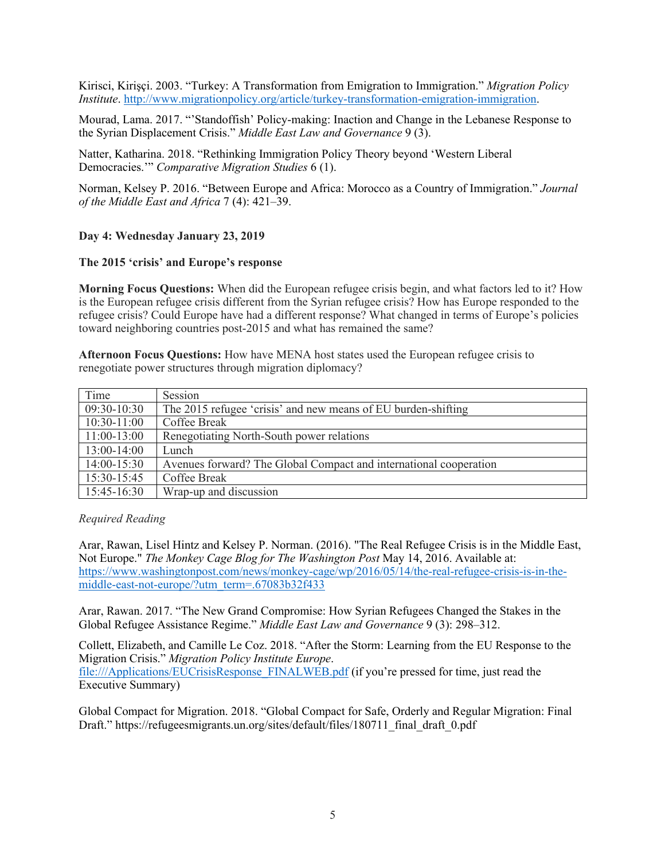Kirisci, Kirişçi. 2003. "Turkey: A Transformation from Emigration to Immigration." *Migration Policy Institute*. http://www.migrationpolicy.org/article/turkey-transformation-emigration-immigration.

Mourad, Lama. 2017. "'Standoffish' Policy-making: Inaction and Change in the Lebanese Response to the Syrian Displacement Crisis." *Middle East Law and Governance* 9 (3).

Natter, Katharina. 2018. "Rethinking Immigration Policy Theory beyond 'Western Liberal Democracies.'" *Comparative Migration Studies* 6 (1).

Norman, Kelsey P. 2016. "Between Europe and Africa: Morocco as a Country of Immigration." *Journal of the Middle East and Africa* 7 (4): 421–39.

#### **Day 4: Wednesday January 23, 2019**

#### **The 2015 'crisis' and Europe's response**

**Morning Focus Questions:** When did the European refugee crisis begin, and what factors led to it? How is the European refugee crisis different from the Syrian refugee crisis? How has Europe responded to the refugee crisis? Could Europe have had a different response? What changed in terms of Europe's policies toward neighboring countries post-2015 and what has remained the same?

**Afternoon Focus Questions:** How have MENA host states used the European refugee crisis to renegotiate power structures through migration diplomacy?

| Time          | Session                                                           |
|---------------|-------------------------------------------------------------------|
| 09:30-10:30   | The 2015 refugee 'crisis' and new means of EU burden-shifting     |
| $10:30-11:00$ | <b>Coffee Break</b>                                               |
| $11:00-13:00$ | Renegotiating North-South power relations                         |
| $13:00-14:00$ | Lunch                                                             |
| $14:00-15:30$ | Avenues forward? The Global Compact and international cooperation |
| 15:30-15:45   | Coffee Break                                                      |
| $15:45-16:30$ | Wrap-up and discussion                                            |

#### *Required Reading*

Arar, Rawan, Lisel Hintz and Kelsey P. Norman. (2016). "The Real Refugee Crisis is in the Middle East, Not Europe." *The Monkey Cage Blog for The Washington Post* May 14, 2016. Available at: https://www.washingtonpost.com/news/monkey-cage/wp/2016/05/14/the-real-refugee-crisis-is-in-themiddle-east-not-europe/?utm\_term=.67083b32f433

Arar, Rawan. 2017. "The New Grand Compromise: How Syrian Refugees Changed the Stakes in the Global Refugee Assistance Regime." *Middle East Law and Governance* 9 (3): 298–312.

Collett, Elizabeth, and Camille Le Coz. 2018. "After the Storm: Learning from the EU Response to the Migration Crisis." *Migration Policy Institute Europe*. file:///Applications/EUCrisisResponse\_FINALWEB.pdf (if you're pressed for time, just read the Executive Summary)

Global Compact for Migration. 2018. "Global Compact for Safe, Orderly and Regular Migration: Final Draft." https://refugeesmigrants.un.org/sites/default/files/180711 final\_draft\_0.pdf